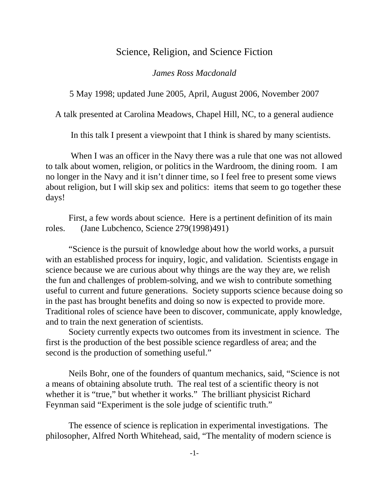## Science, Religion, and Science Fiction

## *James Ross Macdonald*

5 May 1998; updated June 2005, April, August 2006, November 2007

A talk presented at Carolina Meadows, Chapel Hill, NC, to a general audience

In this talk I present a viewpoint that I think is shared by many scientists.

 When I was an officer in the Navy there was a rule that one was not allowed to talk about women, religion, or politics in the Wardroom, the dining room. I am no longer in the Navy and it isn't dinner time, so I feel free to present some views about religion, but I will skip sex and politics: items that seem to go together these days!

First, a few words about science. Here is a pertinent definition of its main roles. (Jane Lubchenco, Science 279(1998)491)

"Science is the pursuit of knowledge about how the world works, a pursuit with an established process for inquiry, logic, and validation. Scientists engage in science because we are curious about why things are the way they are, we relish the fun and challenges of problem-solving, and we wish to contribute something useful to current and future generations. Society supports science because doing so in the past has brought benefits and doing so now is expected to provide more. Traditional roles of science have been to discover, communicate, apply knowledge, and to train the next generation of scientists.

Society currently expects two outcomes from its investment in science. The first is the production of the best possible science regardless of area; and the second is the production of something useful."

Neils Bohr, one of the founders of quantum mechanics, said, "Science is not a means of obtaining absolute truth. The real test of a scientific theory is not whether it is "true," but whether it works." The brilliant physicist Richard Feynman said "Experiment is the sole judge of scientific truth."

 The essence of science is replication in experimental investigations. The philosopher, Alfred North Whitehead, said, "The mentality of modern science is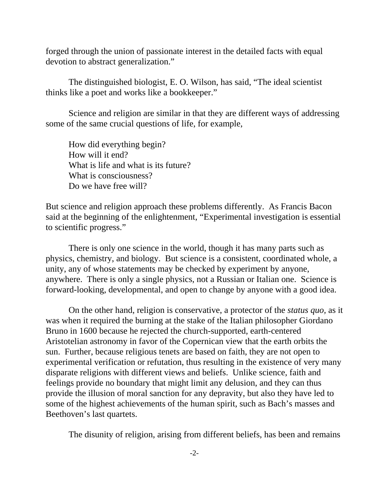forged through the union of passionate interest in the detailed facts with equal devotion to abstract generalization."

 The distinguished biologist, E. O. Wilson, has said, "The ideal scientist thinks like a poet and works like a bookkeeper."

Science and religion are similar in that they are different ways of addressing some of the same crucial questions of life, for example,

How did everything begin? How will it end? What is life and what is its future? What is consciousness? Do we have free will?

But science and religion approach these problems differently. As Francis Bacon said at the beginning of the enlightenment, "Experimental investigation is essential to scientific progress."

There is only one science in the world, though it has many parts such as physics, chemistry, and biology. But science is a consistent, coordinated whole, a unity, any of whose statements may be checked by experiment by anyone, anywhere. There is only a single physics, not a Russian or Italian one. Science is forward-looking, developmental, and open to change by anyone with a good idea.

On the other hand, religion is conservative, a protector of the *status quo,* as it was when it required the burning at the stake of the Italian philosopher Giordano Bruno in 1600 because he rejected the church-supported, earth-centered Aristotelian astronomy in favor of the Copernican view that the earth orbits the sun. Further, because religious tenets are based on faith, they are not open to experimental verification or refutation, thus resulting in the existence of very many disparate religions with different views and beliefs. Unlike science, faith and feelings provide no boundary that might limit any delusion, and they can thus provide the illusion of moral sanction for any depravity, but also they have led to some of the highest achievements of the human spirit, such as Bach's masses and Beethoven's last quartets.

The disunity of religion, arising from different beliefs, has been and remains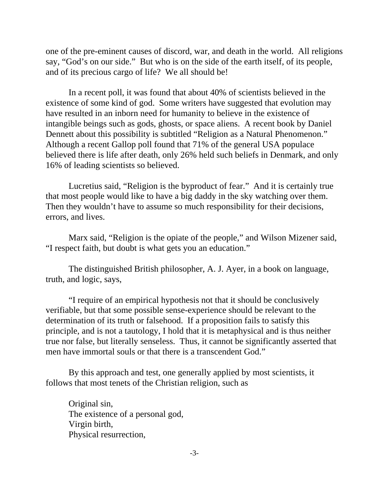one of the pre-eminent causes of discord, war, and death in the world. All religions say, "God's on our side." But who is on the side of the earth itself, of its people, and of its precious cargo of life? We all should be!

In a recent poll, it was found that about 40% of scientists believed in the existence of some kind of god. Some writers have suggested that evolution may have resulted in an inborn need for humanity to believe in the existence of intangible beings such as gods, ghosts, or space aliens. A recent book by Daniel Dennett about this possibility is subtitled "Religion as a Natural Phenomenon." Although a recent Gallop poll found that 71% of the general USA populace believed there is life after death, only 26% held such beliefs in Denmark, and only 16% of leading scientists so believed.

Lucretius said, "Religion is the byproduct of fear." And it is certainly true that most people would like to have a big daddy in the sky watching over them. Then they wouldn't have to assume so much responsibility for their decisions, errors, and lives.

Marx said, "Religion is the opiate of the people," and Wilson Mizener said, "I respect faith, but doubt is what gets you an education."

The distinguished British philosopher, A. J. Ayer, in a book on language, truth, and logic, says,

 "I require of an empirical hypothesis not that it should be conclusively verifiable, but that some possible sense-experience should be relevant to the determination of its truth or falsehood. If a proposition fails to satisfy this principle, and is not a tautology, I hold that it is metaphysical and is thus neither true nor false, but literally senseless. Thus, it cannot be significantly asserted that men have immortal souls or that there is a transcendent God."

By this approach and test, one generally applied by most scientists, it follows that most tenets of the Christian religion, such as

Original sin, The existence of a personal god, Virgin birth, Physical resurrection,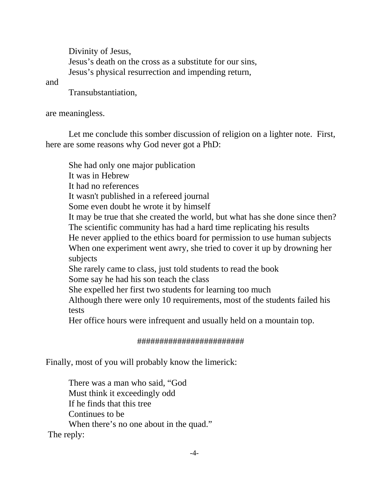Divinity of Jesus, Jesus's death on the cross as a substitute for our sins, Jesus's physical resurrection and impending return,

and

Transubstantiation,

are meaningless.

Let me conclude this somber discussion of religion on a lighter note. First, here are some reasons why God never got a PhD:

She had only one major publication It was in Hebrew It had no references It wasn't published in a refereed journal Some even doubt he wrote it by himself It may be true that she created the world, but what has she done since then? The scientific community has had a hard time replicating his results He never applied to the ethics board for permission to use human subjects When one experiment went awry, she tried to cover it up by drowning her subjects She rarely came to class, just told students to read the book Some say he had his son teach the class She expelled her first two students for learning too much Although there were only 10 requirements, most of the students failed his tests Her office hours were infrequent and usually held on a mountain top.

## ########################

Finally, most of you will probably know the limerick:

There was a man who said, "God Must think it exceedingly odd If he finds that this tree Continues to be When there's no one about in the quad." The reply: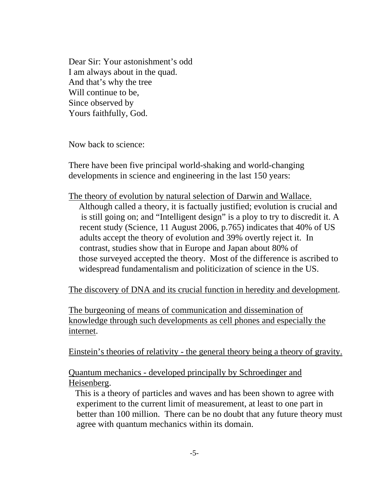Dear Sir: Your astonishment's odd I am always about in the quad. And that's why the tree Will continue to be, Since observed by Yours faithfully, God.

Now back to science:

There have been five principal world-shaking and world-changing developments in science and engineering in the last 150 years:

The theory of evolution by natural selection of Darwin and Wallace.

 Although called a theory, it is factually justified; evolution is crucial and is still going on; and "Intelligent design" is a ploy to try to discredit it. A recent study (Science, 11 August 2006, p.765) indicates that 40% of US adults accept the theory of evolution and 39% overtly reject it. In contrast, studies show that in Europe and Japan about 80% of those surveyed accepted the theory. Most of the difference is ascribed to widespread fundamentalism and politicization of science in the US.

The discovery of DNA and its crucial function in heredity and development.

The burgeoning of means of communication and dissemination of knowledge through such developments as cell phones and especially the internet.

Einstein's theories of relativity - the general theory being a theory of gravity.

Quantum mechanics - developed principally by Schroedinger and Heisenberg.

 This is a theory of particles and waves and has been shown to agree with experiment to the current limit of measurement, at least to one part in better than 100 million. There can be no doubt that any future theory must agree with quantum mechanics within its domain.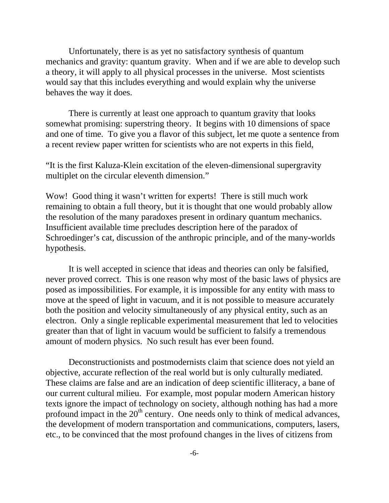Unfortunately, there is as yet no satisfactory synthesis of quantum mechanics and gravity: quantum gravity. When and if we are able to develop such a theory, it will apply to all physical processes in the universe. Most scientists would say that this includes everything and would explain why the universe behaves the way it does.

There is currently at least one approach to quantum gravity that looks somewhat promising: superstring theory. It begins with 10 dimensions of space and one of time. To give you a flavor of this subject, let me quote a sentence from a recent review paper written for scientists who are not experts in this field,

"It is the first Kaluza-Klein excitation of the eleven-dimensional supergravity multiplet on the circular eleventh dimension."

Wow! Good thing it wasn't written for experts! There is still much work remaining to obtain a full theory, but it is thought that one would probably allow the resolution of the many paradoxes present in ordinary quantum mechanics. Insufficient available time precludes description here of the paradox of Schroedinger's cat, discussion of the anthropic principle, and of the many-worlds hypothesis.

It is well accepted in science that ideas and theories can only be falsified, never proved correct. This is one reason why most of the basic laws of physics are posed as impossibilities. For example, it is impossible for any entity with mass to move at the speed of light in vacuum, and it is not possible to measure accurately both the position and velocity simultaneously of any physical entity, such as an electron. Only a single replicable experimental measurement that led to velocities greater than that of light in vacuum would be sufficient to falsify a tremendous amount of modern physics. No such result has ever been found.

Deconstructionists and postmodernists claim that science does not yield an objective, accurate reflection of the real world but is only culturally mediated. These claims are false and are an indication of deep scientific illiteracy, a bane of our current cultural milieu. For example, most popular modern American history texts ignore the impact of technology on society, although nothing has had a more profound impact in the  $20<sup>th</sup>$  century. One needs only to think of medical advances, the development of modern transportation and communications, computers, lasers, etc., to be convinced that the most profound changes in the lives of citizens from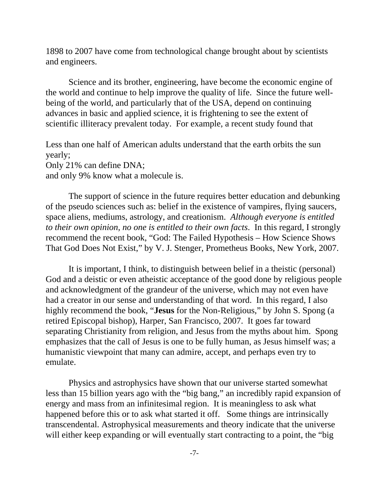1898 to 2007 have come from technological change brought about by scientists and engineers.

Science and its brother, engineering, have become the economic engine of the world and continue to help improve the quality of life. Since the future wellbeing of the world, and particularly that of the USA, depend on continuing advances in basic and applied science, it is frightening to see the extent of scientific illiteracy prevalent today. For example, a recent study found that

Less than one half of American adults understand that the earth orbits the sun yearly; Only 21% can define DNA;

and only 9% know what a molecule is.

The support of science in the future requires better education and debunking of the pseudo sciences such as: belief in the existence of vampires, flying saucers, space aliens, mediums, astrology, and creationism. *Although everyone is entitled to their own opinion, no one is entitled to their own facts*. In this regard, I strongly recommend the recent book, "God: The Failed Hypothesis – How Science Shows That God Does Not Exist," by V. J. Stenger, Prometheus Books, New York, 2007.

It is important, I think, to distinguish between belief in a theistic (personal) God and a deistic or even atheistic acceptance of the good done by religious people and acknowledgment of the grandeur of the universe, which may not even have had a creator in our sense and understanding of that word. In this regard, I also highly recommend the book, "**Jesus** for the Non-Religious," by John S. Spong (a retired Episcopal bishop), Harper, San Francisco, 2007. It goes far toward separating Christianity from religion, and Jesus from the myths about him. Spong emphasizes that the call of Jesus is one to be fully human, as Jesus himself was; a humanistic viewpoint that many can admire, accept, and perhaps even try to emulate.

Physics and astrophysics have shown that our universe started somewhat less than 15 billion years ago with the "big bang," an incredibly rapid expansion of energy and mass from an infinitesimal region. It is meaningless to ask what happened before this or to ask what started it off. Some things are intrinsically transcendental. Astrophysical measurements and theory indicate that the universe will either keep expanding or will eventually start contracting to a point, the "big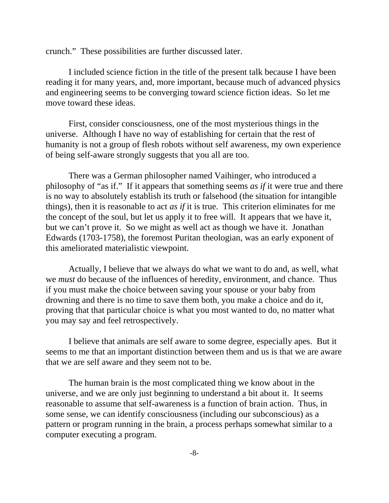crunch." These possibilities are further discussed later.

I included science fiction in the title of the present talk because I have been reading it for many years, and, more important, because much of advanced physics and engineering seems to be converging toward science fiction ideas. So let me move toward these ideas.

First, consider consciousness, one of the most mysterious things in the universe. Although I have no way of establishing for certain that the rest of humanity is not a group of flesh robots without self awareness, my own experience of being self-aware strongly suggests that you all are too.

There was a German philosopher named Vaihinger, who introduced a philosophy of "as if." If it appears that something seems *as if* it were true and there is no way to absolutely establish its truth or falsehood (the situation for intangible things), then it is reasonable to act *as if* it is true. This criterion eliminates for me the concept of the soul, but let us apply it to free will. It appears that we have it, but we can't prove it. So we might as well act as though we have it. Jonathan Edwards (1703-1758), the foremost Puritan theologian, was an early exponent of this ameliorated materialistic viewpoint.

Actually, I believe that we always do what we want to do and, as well, what we *must* do because of the influences of heredity, environment, and chance. Thus if you must make the choice between saving your spouse or your baby from drowning and there is no time to save them both, you make a choice and do it, proving that that particular choice is what you most wanted to do, no matter what you may say and feel retrospectively.

I believe that animals are self aware to some degree, especially apes. But it seems to me that an important distinction between them and us is that we are aware that we are self aware and they seem not to be.

The human brain is the most complicated thing we know about in the universe, and we are only just beginning to understand a bit about it. It seems reasonable to assume that self-awareness is a function of brain action. Thus, in some sense, we can identify consciousness (including our subconscious) as a pattern or program running in the brain, a process perhaps somewhat similar to a computer executing a program.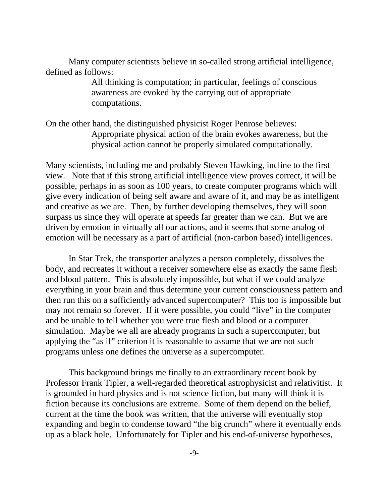Many computer scientists believe in so-called strong artificial intelligence, defined as follows:

> All thinking is computation; in particular, feelings of conscious awareness are evoked by the carrying out of appropriate computations.

On the other hand, the distinguished physicist Roger Penrose believes: Appropriate physical action of the brain evokes awareness, but the physical action cannot be properly simulated computationally.

Many scientists, including me and probably Steven Hawking, incline to the first view. Note that if this strong artificial intelligence view proves correct, it will be possible, perhaps in as soon as 100 years, to create computer programs which will give every indication of being self aware and aware of it, and may be as intelligent and creative as we are. Then, by further developing themselves, they will soon surpass us since they will operate at speeds far greater than we can. But we are driven by emotion in virtually all our actions, and it seems that some analog of emotion will be necessary as a part of artificial (non-carbon based) intelligences.

In Star Trek, the transporter analyzes a person completely, dissolves the body, and recreates it without a receiver somewhere else as exactly the same flesh and blood pattern. This is absolutely impossible, but what if we could analyze everything in your brain and thus determine your current consciousness pattern and then run this on a sufficiently advanced supercomputer? This too is impossible but may not remain so forever. If it were possible, you could "live" in the computer and be unable to tell whether you were true flesh and blood or a computer simulation. Maybe we all are already programs in such a supercomputer, but applying the "as if" criterion it is reasonable to assume that we are not such programs unless one defines the universe as a supercomputer.

This background brings me finally to an extraordinary recent book by Professor Frank Tipler, a well-regarded theoretical astrophysicist and relativitist. It is grounded in hard physics and is not science fiction, but many will think it is fiction because its conclusions are extreme. Some of them depend on the belief, current at the time the book was written, that the universe will eventually stop expanding and begin to condense toward "the big crunch" where it eventually ends up as a black hole. Unfortunately for Tipler and his end-of-universe hypotheses,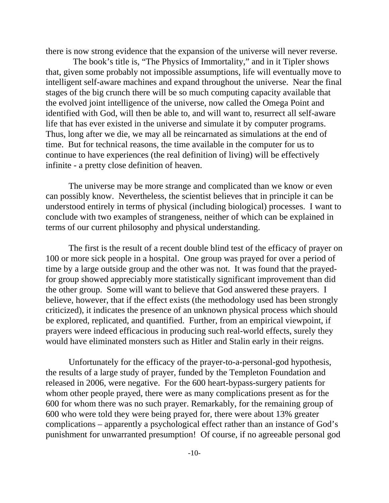there is now strong evidence that the expansion of the universe will never reverse.

 The book's title is, "The Physics of Immortality," and in it Tipler shows that, given some probably not impossible assumptions, life will eventually move to intelligent self-aware machines and expand throughout the universe. Near the final stages of the big crunch there will be so much computing capacity available that the evolved joint intelligence of the universe, now called the Omega Point and identified with God, will then be able to, and will want to, resurrect all self-aware life that has ever existed in the universe and simulate it by computer programs. Thus, long after we die, we may all be reincarnated as simulations at the end of time. But for technical reasons, the time available in the computer for us to continue to have experiences (the real definition of living) will be effectively infinite - a pretty close definition of heaven.

The universe may be more strange and complicated than we know or even can possibly know. Nevertheless, the scientist believes that in principle it can be understood entirely in terms of physical (including biological) processes. I want to conclude with two examples of strangeness, neither of which can be explained in terms of our current philosophy and physical understanding.

The first is the result of a recent double blind test of the efficacy of prayer on 100 or more sick people in a hospital. One group was prayed for over a period of time by a large outside group and the other was not. It was found that the prayedfor group showed appreciably more statistically significant improvement than did the other group. Some will want to believe that God answered these prayers. I believe, however, that if the effect exists (the methodology used has been strongly criticized), it indicates the presence of an unknown physical process which should be explored, replicated, and quantified. Further, from an empirical viewpoint, if prayers were indeed efficacious in producing such real-world effects, surely they would have eliminated monsters such as Hitler and Stalin early in their reigns.

Unfortunately for the efficacy of the prayer-to-a-personal-god hypothesis, the results of a large study of prayer, funded by the Templeton Foundation and released in 2006, were negative. For the 600 heart-bypass-surgery patients for whom other people prayed, there were as many complications present as for the 600 for whom there was no such prayer. Remarkably, for the remaining group of 600 who were told they were being prayed for, there were about 13% greater complications – apparently a psychological effect rather than an instance of God's punishment for unwarranted presumption! Of course, if no agreeable personal god